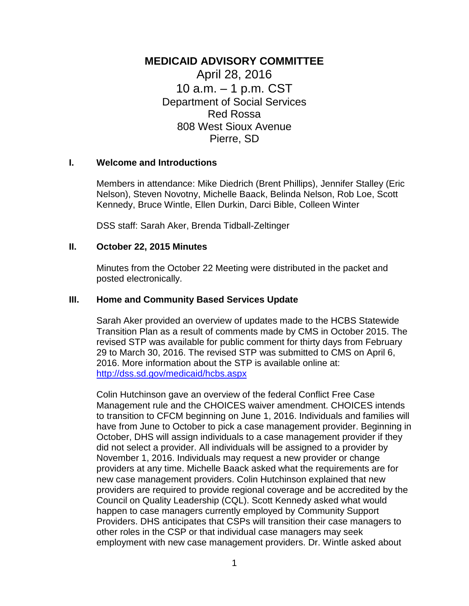# **MEDICAID ADVISORY COMMITTEE**

April 28, 2016 10 a.m. – 1 p.m. CST Department of Social Services Red Rossa 808 West Sioux Avenue Pierre, SD

#### **I. Welcome and Introductions**

Members in attendance: Mike Diedrich (Brent Phillips), Jennifer Stalley (Eric Nelson), Steven Novotny, Michelle Baack, Belinda Nelson, Rob Loe, Scott Kennedy, Bruce Wintle, Ellen Durkin, Darci Bible, Colleen Winter

DSS staff: Sarah Aker, Brenda Tidball-Zeltinger

#### **II. October 22, 2015 Minutes**

Minutes from the October 22 Meeting were distributed in the packet and posted electronically.

#### **III. Home and Community Based Services Update**

Sarah Aker provided an overview of updates made to the HCBS Statewide Transition Plan as a result of comments made by CMS in October 2015. The revised STP was available for public comment for thirty days from February 29 to March 30, 2016. The revised STP was submitted to CMS on April 6, 2016. More information about the STP is available online at: <http://dss.sd.gov/medicaid/hcbs.aspx>

Colin Hutchinson gave an overview of the federal Conflict Free Case Management rule and the CHOICES waiver amendment. CHOICES intends to transition to CFCM beginning on June 1, 2016. Individuals and families will have from June to October to pick a case management provider. Beginning in October, DHS will assign individuals to a case management provider if they did not select a provider. All individuals will be assigned to a provider by November 1, 2016. Individuals may request a new provider or change providers at any time. Michelle Baack asked what the requirements are for new case management providers. Colin Hutchinson explained that new providers are required to provide regional coverage and be accredited by the Council on Quality Leadership (CQL). Scott Kennedy asked what would happen to case managers currently employed by Community Support Providers. DHS anticipates that CSPs will transition their case managers to other roles in the CSP or that individual case managers may seek employment with new case management providers. Dr. Wintle asked about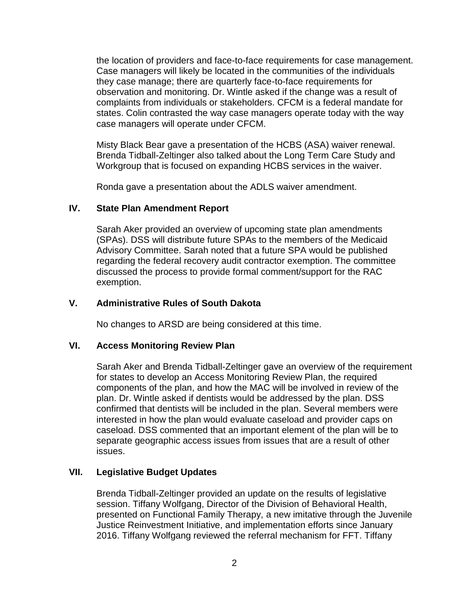the location of providers and face-to-face requirements for case management. Case managers will likely be located in the communities of the individuals they case manage; there are quarterly face-to-face requirements for observation and monitoring. Dr. Wintle asked if the change was a result of complaints from individuals or stakeholders. CFCM is a federal mandate for states. Colin contrasted the way case managers operate today with the way case managers will operate under CFCM.

Misty Black Bear gave a presentation of the HCBS (ASA) waiver renewal. Brenda Tidball-Zeltinger also talked about the Long Term Care Study and Workgroup that is focused on expanding HCBS services in the waiver.

Ronda gave a presentation about the ADLS waiver amendment.

## **IV. State Plan Amendment Report**

Sarah Aker provided an overview of upcoming state plan amendments (SPAs). DSS will distribute future SPAs to the members of the Medicaid Advisory Committee. Sarah noted that a future SPA would be published regarding the federal recovery audit contractor exemption. The committee discussed the process to provide formal comment/support for the RAC exemption.

## **V. Administrative Rules of South Dakota**

No changes to ARSD are being considered at this time.

## **VI. Access Monitoring Review Plan**

Sarah Aker and Brenda Tidball-Zeltinger gave an overview of the requirement for states to develop an Access Monitoring Review Plan, the required components of the plan, and how the MAC will be involved in review of the plan. Dr. Wintle asked if dentists would be addressed by the plan. DSS confirmed that dentists will be included in the plan. Several members were interested in how the plan would evaluate caseload and provider caps on caseload. DSS commented that an important element of the plan will be to separate geographic access issues from issues that are a result of other issues.

## **VII. Legislative Budget Updates**

Brenda Tidball-Zeltinger provided an update on the results of legislative session. Tiffany Wolfgang, Director of the Division of Behavioral Health, presented on Functional Family Therapy, a new imitative through the Juvenile Justice Reinvestment Initiative, and implementation efforts since January 2016. Tiffany Wolfgang reviewed the referral mechanism for FFT. Tiffany